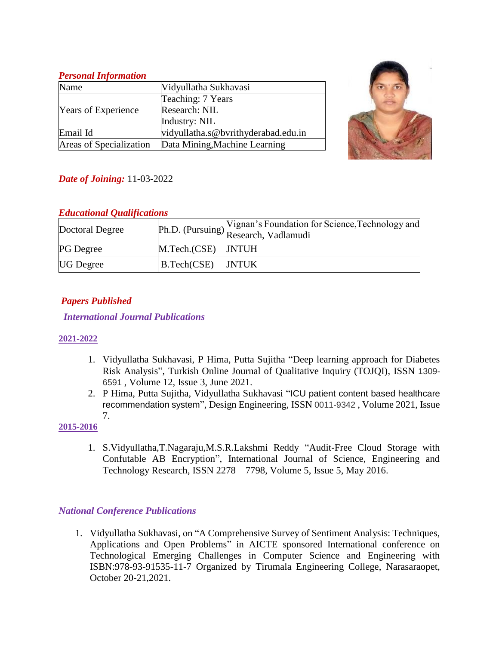#### *Personal Information* Name Vidyullatha Sukhavasi Years of Experience Teaching: 7 Years Research: NIL Industry: NIL Email Id vidyullatha.s@bvrithyderabad.edu.in Areas of Specialization Data Mining,Machine Learning



# *Date of Joining:* 11-03-2022

### *Educational Qualifications*

| Doctoral Degree  |                    | Vignan's Foundation for Science, Technology and<br>Ph.D. (Pursuing) Research, Vadlamudi |
|------------------|--------------------|-----------------------------------------------------------------------------------------|
| <b>PG</b> Degree | M.Tech.(CSE) JNTUH |                                                                                         |
| <b>UG</b> Degree | B.Tech(CSE)        | JNTUK                                                                                   |

# *Papers Published*

### *International Journal Publications*

### **2021-2022**

- 1. Vidyullatha Sukhavasi, P Hima, Putta Sujitha "Deep learning approach for Diabetes Risk Analysis", Turkish Online Journal of Qualitative Inquiry (TOJQI), ISSN 1309- 6591 , Volume 12, Issue 3, June 2021.
- 2. P Hima, Putta Sujitha, Vidyullatha Sukhavasi "ICU patient content based healthcare recommendation system", Design Engineering, ISSN 0011-9342 , Volume 2021, Issue 7.

### **2015-2016**

1. S.Vidyullatha,T.Nagaraju,M.S.R.Lakshmi Reddy "Audit-Free Cloud Storage with Confutable AB Encryption", International Journal of Science, Engineering and Technology Research, ISSN 2278 – 7798, Volume 5, Issue 5, May 2016.

## *National Conference Publications*

1. Vidyullatha Sukhavasi, on "A Comprehensive Survey of Sentiment Analysis: Techniques, Applications and Open Problems" in AICTE sponsored International conference on Technological Emerging Challenges in Computer Science and Engineering with ISBN:978-93-91535-11-7 Organized by Tirumala Engineering College, Narasaraopet, October 20-21,2021.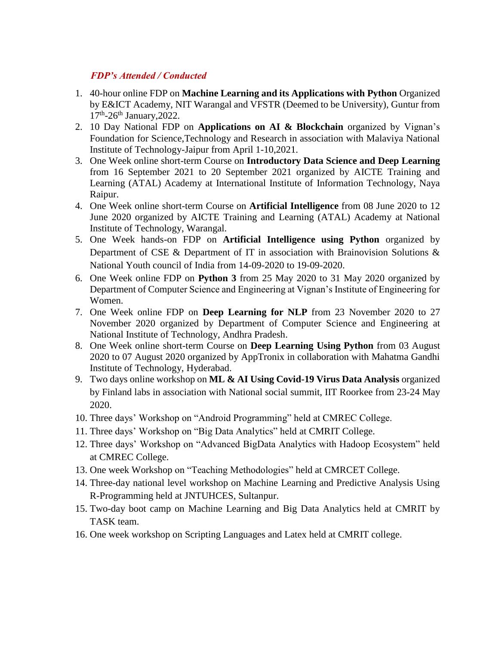#### *FDP's Attended / Conducted*

- 1. 40-hour online FDP on **Machine Learning and its Applications with Python** Organized by E&ICT Academy, NIT Warangal and VFSTR (Deemed to be University), Guntur from 17<sup>th</sup>-26<sup>th</sup> January, 2022.
- 2. 10 Day National FDP on **Applications on AI & Blockchain** organized by Vignan's Foundation for Science,Technology and Research in association with Malaviya National Institute of Technology-Jaipur from April 1-10,2021.
- 3. One Week online short-term Course on **Introductory Data Science and Deep Learning** from 16 September 2021 to 20 September 2021 organized by AICTE Training and Learning (ATAL) Academy at International Institute of Information Technology, Naya Raipur.
- 4. One Week online short-term Course on **Artificial Intelligence** from 08 June 2020 to 12 June 2020 organized by AICTE Training and Learning (ATAL) Academy at National Institute of Technology, Warangal.
- 5. One Week hands-on FDP on **Artificial Intelligence using Python** organized by Department of CSE & Department of IT in association with Brainovision Solutions & National Youth council of India from 14-09-2020 to 19-09-2020.
- 6. One Week online FDP on **Python 3** from 25 May 2020 to 31 May 2020 organized by Department of Computer Science and Engineering at Vignan's Institute of Engineering for Women.
- 7. One Week online FDP on **Deep Learning for NLP** from 23 November 2020 to 27 November 2020 organized by Department of Computer Science and Engineering at National Institute of Technology, Andhra Pradesh.
- 8. One Week online short-term Course on **Deep Learning Using Python** from 03 August 2020 to 07 August 2020 organized by AppTronix in collaboration with Mahatma Gandhi Institute of Technology, Hyderabad.
- 9. Two days online workshop on **ML & AI Using Covid-19 Virus Data Analysis** organized by Finland labs in association with National social summit, IIT Roorkee from 23-24 May 2020.
- 10. Three days' Workshop on "Android Programming" held at CMREC College.
- 11. Three days' Workshop on "Big Data Analytics" held at CMRIT College.
- 12. Three days' Workshop on "Advanced BigData Analytics with Hadoop Ecosystem" held at CMREC College.
- 13. One week Workshop on "Teaching Methodologies" held at CMRCET College.
- 14. Three-day national level workshop on Machine Learning and Predictive Analysis Using R-Programming held at JNTUHCES, Sultanpur.
- 15. Two-day boot camp on Machine Learning and Big Data Analytics held at CMRIT by TASK team.
- 16. One week workshop on Scripting Languages and Latex held at CMRIT college.